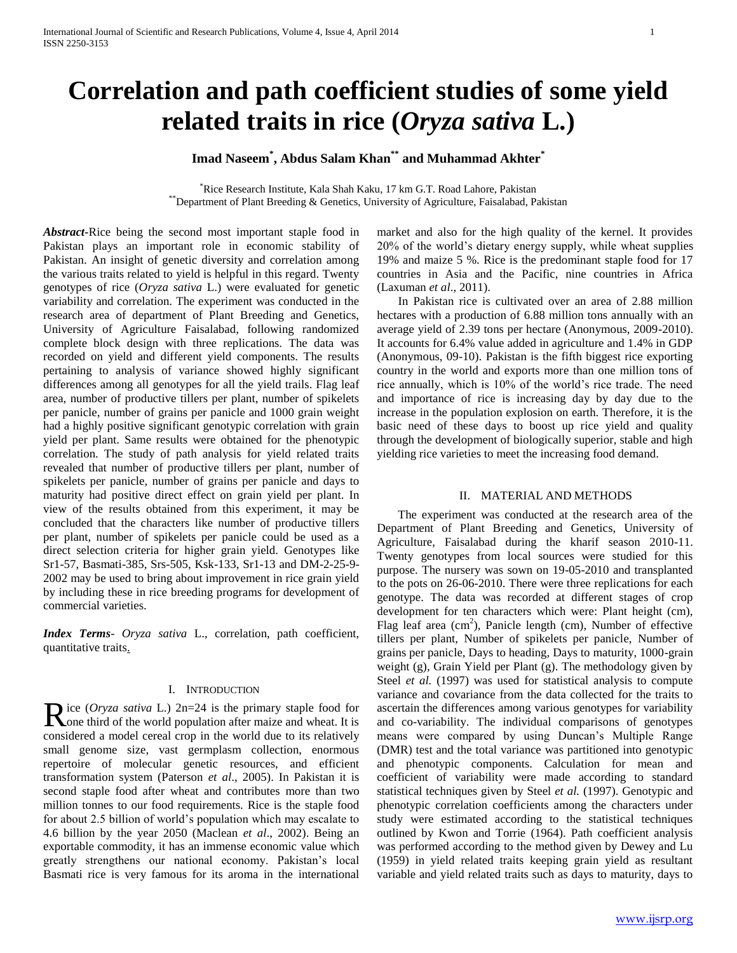# **Correlation and path coefficient studies of some yield related traits in rice (***Oryza sativa* **L.)**

# **Imad Naseem\* , Abdus Salam Khan\*\* and Muhammad Akhter\***

\*Rice Research Institute, Kala Shah Kaku, 17 km G.T. Road Lahore, Pakistan \*\*Department of Plant Breeding & Genetics, University of Agriculture, Faisalabad, Pakistan

*Abstract***-**Rice being the second most important staple food in Pakistan plays an important role in economic stability of Pakistan. An insight of genetic diversity and correlation among the various traits related to yield is helpful in this regard. Twenty genotypes of rice (*Oryza sativa* L.) were evaluated for genetic variability and correlation. The experiment was conducted in the research area of department of Plant Breeding and Genetics, University of Agriculture Faisalabad, following randomized complete block design with three replications. The data was recorded on yield and different yield components. The results pertaining to analysis of variance showed highly significant differences among all genotypes for all the yield trails. Flag leaf area, number of productive tillers per plant, number of spikelets per panicle, number of grains per panicle and 1000 grain weight had a highly positive significant genotypic correlation with grain yield per plant. Same results were obtained for the phenotypic correlation. The study of path analysis for yield related traits revealed that number of productive tillers per plant, number of spikelets per panicle, number of grains per panicle and days to maturity had positive direct effect on grain yield per plant. In view of the results obtained from this experiment, it may be concluded that the characters like number of productive tillers per plant, number of spikelets per panicle could be used as a direct selection criteria for higher grain yield. Genotypes like Sr1-57, Basmati-385, Srs-505, Ksk-133, Sr1-13 and DM-2-25-9- 2002 may be used to bring about improvement in rice grain yield by including these in rice breeding programs for development of commercial varieties.

*Index Terms*- *Oryza sativa* L., correlation, path coefficient, quantitative traits.

## I. INTRODUCTION

ice (*Oryza sativa* L.) 2n=24 is the primary staple food for Rice (Oryza sativa L.)  $2n=24$  is the primary staple food for Sone third of the world population after maize and wheat. It is considered a model cereal crop in the world due to its relatively small genome size, vast germplasm collection, enormous repertoire of molecular genetic resources, and efficient transformation system (Paterson *et al*., 2005). In Pakistan it is second staple food after wheat and contributes more than two million tonnes to our food requirements. Rice is the staple food for about 2.5 billion of world's population which may escalate to 4.6 billion by the year 2050 (Maclean *et al*., 2002). Being an exportable commodity, it has an immense economic value which greatly strengthens our national economy. Pakistan's local Basmati rice is very famous for its aroma in the international

market and also for the high quality of the kernel. It provides 20% of the world's dietary energy supply, while wheat supplies 19% and maize 5 %. Rice is the predominant staple food for 17 countries in Asia and the Pacific, nine countries in Africa (Laxuman *et al*., 2011).

 In Pakistan rice is cultivated over an area of 2.88 million hectares with a production of 6.88 million tons annually with an average yield of 2.39 tons per hectare (Anonymous, 2009-2010). It accounts for 6.4% value added in agriculture and 1.4% in GDP (Anonymous, 09-10). Pakistan is the fifth biggest rice exporting country in the world and exports more than one million tons of rice annually, which is 10% of the world's rice trade. The need and importance of rice is increasing day by day due to the increase in the population explosion on earth. Therefore, it is the basic need of these days to boost up rice yield and quality through the development of biologically superior, stable and high yielding rice varieties to meet the increasing food demand.

## II. MATERIAL AND METHODS

 The experiment was conducted at the research area of the Department of Plant Breeding and Genetics, University of Agriculture, Faisalabad during the kharif season 2010-11. Twenty genotypes from local sources were studied for this purpose. The nursery was sown on 19-05-2010 and transplanted to the pots on 26-06-2010. There were three replications for each genotype. The data was recorded at different stages of crop development for ten characters which were: Plant height (cm), Flag leaf area  $(cm^2)$ , Panicle length (cm), Number of effective tillers per plant, Number of spikelets per panicle, Number of grains per panicle, Days to heading, Days to maturity, 1000-grain weight (g), Grain Yield per Plant (g). The methodology given by Steel *et al.* (1997) was used for statistical analysis to compute variance and covariance from the data collected for the traits to ascertain the differences among various genotypes for variability and co-variability. The individual comparisons of genotypes means were compared by using Duncan's Multiple Range (DMR) test and the total variance was partitioned into genotypic and phenotypic components. Calculation for mean and coefficient of variability were made according to standard statistical techniques given by Steel *et al.* (1997). Genotypic and phenotypic correlation coefficients among the characters under study were estimated according to the statistical techniques outlined by Kwon and Torrie (1964). Path coefficient analysis was performed according to the method given by Dewey and Lu (1959) in yield related traits keeping grain yield as resultant variable and yield related traits such as days to maturity, days to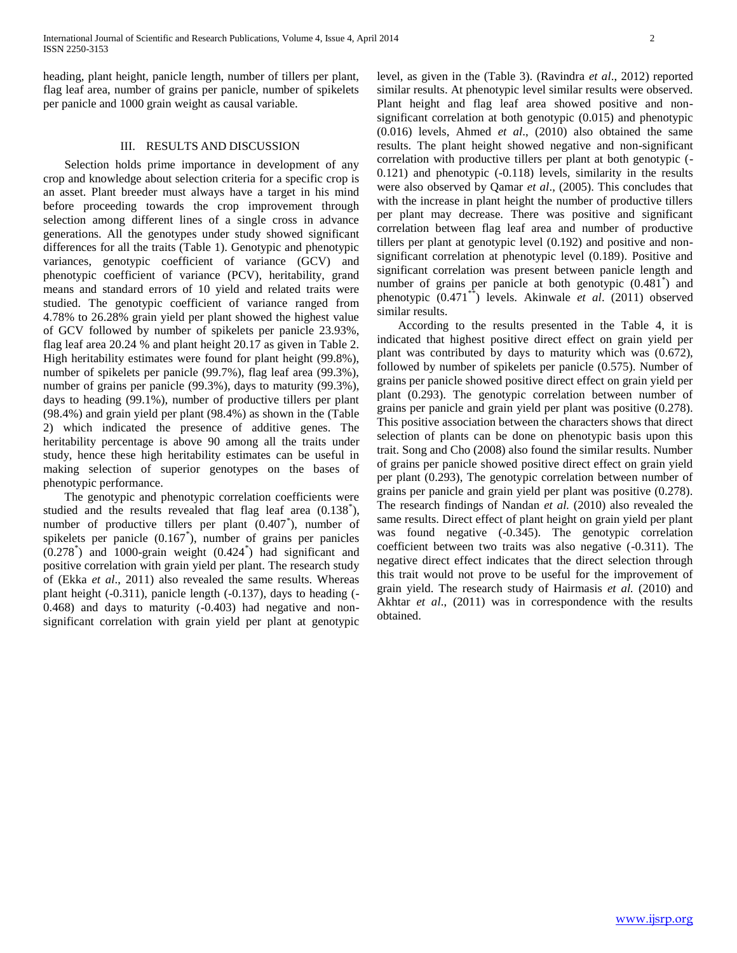heading, plant height, panicle length, number of tillers per plant, flag leaf area, number of grains per panicle, number of spikelets per panicle and 1000 grain weight as causal variable.

#### III. RESULTS AND DISCUSSION

 Selection holds prime importance in development of any crop and knowledge about selection criteria for a specific crop is an asset. Plant breeder must always have a target in his mind before proceeding towards the crop improvement through selection among different lines of a single cross in advance generations. All the genotypes under study showed significant differences for all the traits (Table 1). Genotypic and phenotypic variances, genotypic coefficient of variance (GCV) and phenotypic coefficient of variance (PCV), heritability, grand means and standard errors of 10 yield and related traits were studied. The genotypic coefficient of variance ranged from 4.78% to 26.28% grain yield per plant showed the highest value of GCV followed by number of spikelets per panicle 23.93%, flag leaf area 20.24 % and plant height 20.17 as given in Table 2. High heritability estimates were found for plant height (99.8%), number of spikelets per panicle (99.7%), flag leaf area (99.3%), number of grains per panicle (99.3%), days to maturity (99.3%), days to heading (99.1%), number of productive tillers per plant (98.4%) and grain yield per plant (98.4%) as shown in the (Table 2) which indicated the presence of additive genes. The heritability percentage is above 90 among all the traits under study, hence these high heritability estimates can be useful in making selection of superior genotypes on the bases of phenotypic performance.

 The genotypic and phenotypic correlation coefficients were studied and the results revealed that flag leaf area (0.138<sup>\*</sup>), number of productive tillers per plant (0.407\* ), number of spikelets per panicle (0.167<sup>\*</sup>), number of grains per panicles  $(0.278<sup>*</sup>)$  and 1000-grain weight  $(0.424<sup>*</sup>)$  had significant and positive correlation with grain yield per plant. The research study of (Ekka *et al*., 2011) also revealed the same results. Whereas plant height (-0.311), panicle length (-0.137), days to heading (- 0.468) and days to maturity (-0.403) had negative and nonsignificant correlation with grain yield per plant at genotypic

level, as given in the (Table 3). (Ravindra *et al*., 2012) reported similar results. At phenotypic level similar results were observed. Plant height and flag leaf area showed positive and nonsignificant correlation at both genotypic (0.015) and phenotypic (0.016) levels, Ahmed *et al*., (2010) also obtained the same results. The plant height showed negative and non-significant correlation with productive tillers per plant at both genotypic (- 0.121) and phenotypic (-0.118) levels, similarity in the results were also observed by Qamar *et al*., (2005). This concludes that with the increase in plant height the number of productive tillers per plant may decrease. There was positive and significant correlation between flag leaf area and number of productive tillers per plant at genotypic level (0.192) and positive and nonsignificant correlation at phenotypic level (0.189). Positive and significant correlation was present between panicle length and number of grains per panicle at both genotypic  $(0.481^*)$  and phenotypic (0.471\*\*) levels. Akinwale *et al*. (2011) observed similar results.

 According to the results presented in the Table 4, it is indicated that highest positive direct effect on grain yield per plant was contributed by days to maturity which was (0.672), followed by number of spikelets per panicle (0.575). Number of grains per panicle showed positive direct effect on grain yield per plant (0.293). The genotypic correlation between number of grains per panicle and grain yield per plant was positive (0.278). This positive association between the characters shows that direct selection of plants can be done on phenotypic basis upon this trait. Song and Cho (2008) also found the similar results. Number of grains per panicle showed positive direct effect on grain yield per plant (0.293), The genotypic correlation between number of grains per panicle and grain yield per plant was positive (0.278). The research findings of Nandan *et al.* (2010) also revealed the same results. Direct effect of plant height on grain yield per plant was found negative (-0.345). The genotypic correlation coefficient between two traits was also negative (-0.311). The negative direct effect indicates that the direct selection through this trait would not prove to be useful for the improvement of grain yield. The research study of Hairmasis *et al.* (2010) and Akhtar *et al*., (2011) was in correspondence with the results obtained.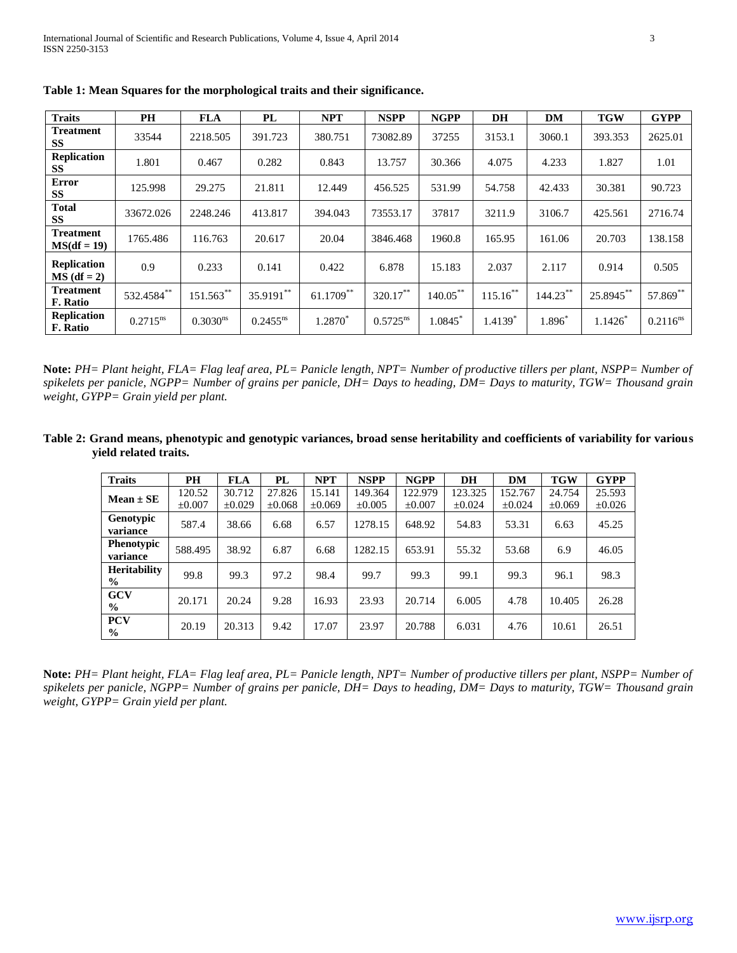| <b>Traits</b>                       | PH            | <b>FLA</b>           | PL            | <b>NPT</b>   | <b>NSPP</b>          | <b>NGPP</b> | DH          | DM          | <b>TGW</b> | <b>GYPP</b>   |
|-------------------------------------|---------------|----------------------|---------------|--------------|----------------------|-------------|-------------|-------------|------------|---------------|
| Treatment<br><b>SS</b>              | 33544         | 2218.505             | 391.723       | 380.751      | 73082.89             | 37255       | 3153.1      | 3060.1      | 393.353    | 2625.01       |
| Replication<br>SS                   | 1.801         | 0.467                | 0.282         | 0.843        | 13.757               | 30.366      | 4.075       | 4.233       | 1.827      | 1.01          |
| <b>Error</b><br><b>SS</b>           | 125.998       | 29.275               | 21.811        | 12.449       | 456.525              | 531.99      | 54.758      | 42.433      | 30.381     | 90.723        |
| <b>Total</b><br><b>SS</b>           | 33672.026     | 2248.246             | 413.817       | 394.043      | 73553.17             | 37817       | 3211.9      | 3106.7      | 425.561    | 2716.74       |
| <b>Treatment</b><br>$MS(df = 19)$   | 1765.486      | 116.763              | 20.617        | 20.04        | 3846.468             | 1960.8      | 165.95      | 161.06      | 20.703     | 138.158       |
| <b>Replication</b><br>$MS$ (df = 2) | 0.9           | 0.233                | 0.141         | 0.422        | 6.878                | 15.183      | 2.037       | 2.117       | 0.914      | 0.505         |
| <b>Treatment</b><br>F. Ratio        | 532.4584**    | $151.563***$         | 35.9191**     | $61.1709***$ | 320.17**             | $140.05***$ | $115.16***$ | $144.23***$ | 25.8945**  | 57.869**      |
| <b>Replication</b><br>F. Ratio      | $0.2715^{ns}$ | 0.3030 <sup>ns</sup> | $0.2455^{ns}$ | 1.2870*      | $0.5725^{\text{ns}}$ | $1.0845$ *  | $1.4139*$   | $1.896*$    | $1.1426*$  | $0.2116^{ns}$ |

**Table 1: Mean Squares for the morphological traits and their significance.**

**Note:** *PH= Plant height, FLA= Flag leaf area, PL= Panicle length, NPT= Number of productive tillers per plant, NSPP= Number of spikelets per panicle, NGPP= Number of grains per panicle, DH= Days to heading, DM= Days to maturity, TGW= Thousand grain weight, GYPP= Grain yield per plant.*

**Table 2: Grand means, phenotypic and genotypic variances, broad sense heritability and coefficients of variability for various yield related traits.**

| <b>Traits</b>                        | <b>PH</b>   | <b>FLA</b>  | PL          | <b>NPT</b>  | <b>NSPP</b> | <b>NGPP</b> | <b>DH</b> | DM       | <b>TGW</b>  | <b>GYPP</b> |
|--------------------------------------|-------------|-------------|-------------|-------------|-------------|-------------|-----------|----------|-------------|-------------|
| $Mean \pm SE$                        | 120.52      | 30.712      | 27.826      | 15.141      | 149.364     | 122.979     | 123.325   | 152.767  | 24.754      | 25.593      |
|                                      | $\pm 0.007$ | $\pm 0.029$ | $\pm 0.068$ | $\pm 0.069$ | $\pm 0.005$ | $\pm 0.007$ | ±0.024    | $+0.024$ | $\pm 0.069$ | $\pm 0.026$ |
| <b>Genotypic</b><br>variance         | 587.4       | 38.66       | 6.68        | 6.57        | 1278.15     | 648.92      | 54.83     | 53.31    | 6.63        | 45.25       |
| <b>Phenotypic</b><br>variance        | 588.495     | 38.92       | 6.87        | 6.68        | 1282.15     | 653.91      | 55.32     | 53.68    | 6.9         | 46.05       |
| <b>Heritability</b><br>$\frac{6}{9}$ | 99.8        | 99.3        | 97.2        | 98.4        | 99.7        | 99.3        | 99.1      | 99.3     | 96.1        | 98.3        |
| <b>GCV</b><br>$\frac{6}{9}$          | 20.171      | 20.24       | 9.28        | 16.93       | 23.93       | 20.714      | 6.005     | 4.78     | 10.405      | 26.28       |
| <b>PCV</b><br>$\frac{0}{0}$          | 20.19       | 20.313      | 9.42        | 17.07       | 23.97       | 20.788      | 6.031     | 4.76     | 10.61       | 26.51       |

**Note:** *PH= Plant height, FLA= Flag leaf area, PL= Panicle length, NPT= Number of productive tillers per plant, NSPP= Number of spikelets per panicle, NGPP= Number of grains per panicle, DH= Days to heading, DM= Days to maturity, TGW= Thousand grain weight, GYPP= Grain yield per plant.*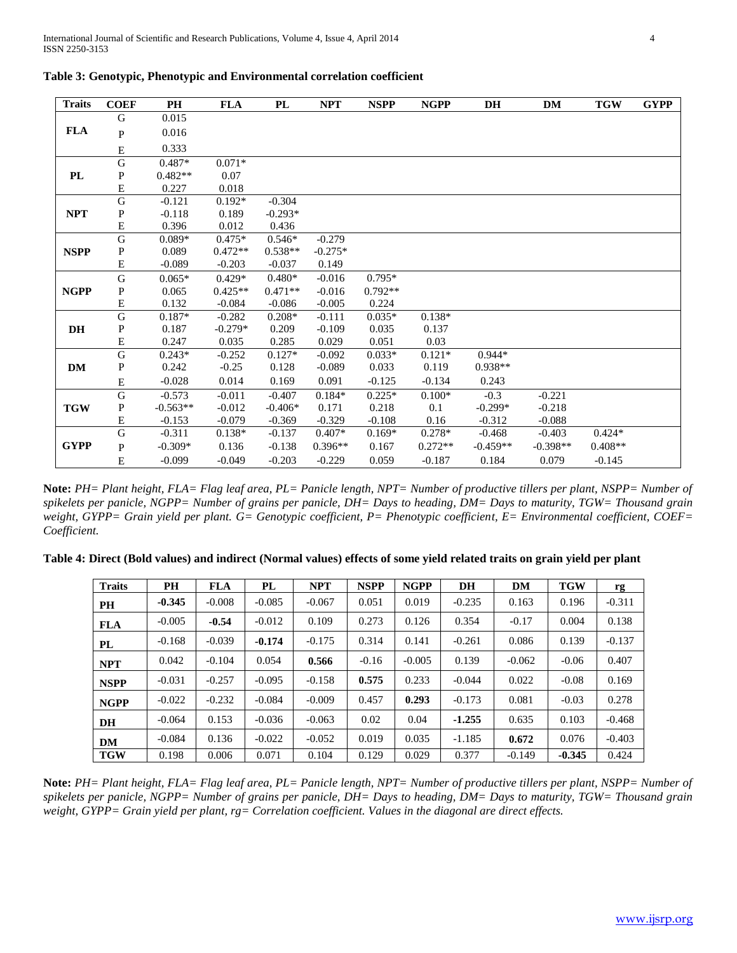| <b>Traits</b> | <b>COEF</b>             | PH         | <b>FLA</b> | PL        | <b>NPT</b> | <b>NSPP</b> | <b>NGPP</b> | <b>DH</b>  | DM         | <b>TGW</b> | <b>GYPP</b> |
|---------------|-------------------------|------------|------------|-----------|------------|-------------|-------------|------------|------------|------------|-------------|
|               | G                       | 0.015      |            |           |            |             |             |            |            |            |             |
| <b>FLA</b>    | P                       | 0.016      |            |           |            |             |             |            |            |            |             |
|               | E                       | 0.333      |            |           |            |             |             |            |            |            |             |
|               | G                       | $0.487*$   | $0.071*$   |           |            |             |             |            |            |            |             |
| PL            | P                       | $0.482**$  | 0.07       |           |            |             |             |            |            |            |             |
|               | ${\bf E}$               | 0.227      | 0.018      |           |            |             |             |            |            |            |             |
|               | G                       | $-0.121$   | $0.192*$   | $-0.304$  |            |             |             |            |            |            |             |
| <b>NPT</b>    | P                       | $-0.118$   | 0.189      | $-0.293*$ |            |             |             |            |            |            |             |
|               | E                       | 0.396      | 0.012      | 0.436     |            |             |             |            |            |            |             |
|               | $\overline{\mathrm{G}}$ | $0.089*$   | $0.475*$   | $0.546*$  | $-0.279$   |             |             |            |            |            |             |
| <b>NSPP</b>   | P                       | 0.089      | $0.472**$  | $0.538**$ | $-0.275*$  |             |             |            |            |            |             |
|               | E                       | $-0.089$   | $-0.203$   | $-0.037$  | 0.149      |             |             |            |            |            |             |
|               | ${\bf G}$               | $0.065*$   | $0.429*$   | $0.480*$  | $-0.016$   | $0.795*$    |             |            |            |            |             |
| <b>NGPP</b>   | P                       | 0.065      | $0.425**$  | $0.471**$ | $-0.016$   | $0.792**$   |             |            |            |            |             |
|               | E                       | 0.132      | $-0.084$   | $-0.086$  | $-0.005$   | 0.224       |             |            |            |            |             |
|               | $\overline{G}$          | $0.187*$   | $-0.282$   | $0.208*$  | $-0.111$   | $0.035*$    | $0.138*$    |            |            |            |             |
| DH            | P                       | 0.187      | $-0.279*$  | 0.209     | $-0.109$   | 0.035       | 0.137       |            |            |            |             |
|               | E                       | 0.247      | 0.035      | 0.285     | 0.029      | 0.051       | 0.03        |            |            |            |             |
|               | $\overline{G}$          | $0.243*$   | $-0.252$   | $0.127*$  | $-0.092$   | $0.033*$    | $0.121*$    | $0.944*$   |            |            |             |
| <b>DM</b>     | P                       | 0.242      | $-0.25$    | 0.128     | $-0.089$   | 0.033       | 0.119       | $0.938**$  |            |            |             |
|               | ${\bf E}$               | $-0.028$   | 0.014      | 0.169     | 0.091      | $-0.125$    | $-0.134$    | 0.243      |            |            |             |
|               | $\overline{\mathrm{G}}$ | $-0.573$   | $-0.011$   | $-0.407$  | $0.184*$   | $0.225*$    | $0.100*$    | $-0.3$     | $-0.221$   |            |             |
| <b>TGW</b>    | P                       | $-0.563**$ | $-0.012$   | $-0.406*$ | 0.171      | 0.218       | 0.1         | $-0.299*$  | $-0.218$   |            |             |
|               | E                       | $-0.153$   | $-0.079$   | $-0.369$  | $-0.329$   | $-0.108$    | 0.16        | $-0.312$   | $-0.088$   |            |             |
|               | $\mathbf G$             | $-0.311$   | $0.138*$   | $-0.137$  | $0.407*$   | $0.169*$    | $0.278*$    | $-0.468$   | $-0.403$   | $0.424*$   |             |
| <b>GYPP</b>   | P                       | $-0.309*$  | 0.136      | $-0.138$  | $0.396**$  | 0.167       | $0.272**$   | $-0.459**$ | $-0.398**$ | $0.408**$  |             |
|               | E                       | $-0.099$   | $-0.049$   | $-0.203$  | $-0.229$   | 0.059       | $-0.187$    | 0.184      | 0.079      | $-0.145$   |             |

**Table 3: Genotypic, Phenotypic and Environmental correlation coefficient**

**Note:** *PH= Plant height, FLA= Flag leaf area, PL= Panicle length, NPT= Number of productive tillers per plant, NSPP= Number of spikelets per panicle, NGPP= Number of grains per panicle, DH= Days to heading, DM= Days to maturity, TGW= Thousand grain weight, GYPP= Grain yield per plant. G= Genotypic coefficient, P= Phenotypic coefficient, E= Environmental coefficient, COEF= Coefficient.*

**Table 4: Direct (Bold values) and indirect (Normal values) effects of some yield related traits on grain yield per plant**

| <b>Traits</b> | <b>PH</b> | <b>FLA</b> | PL       | <b>NPT</b> | <b>NSPP</b> | <b>NGPP</b> | DH       | <b>DM</b> | <b>TGW</b> | rg       |
|---------------|-----------|------------|----------|------------|-------------|-------------|----------|-----------|------------|----------|
| PH            | $-0.345$  | $-0.008$   | $-0.085$ | $-0.067$   | 0.051       | 0.019       | $-0.235$ | 0.163     | 0.196      | $-0.311$ |
| <b>FLA</b>    | $-0.005$  | $-0.54$    | $-0.012$ | 0.109      | 0.273       | 0.126       | 0.354    | $-0.17$   | 0.004      | 0.138    |
| PL            | $-0.168$  | $-0.039$   | $-0.174$ | $-0.175$   | 0.314       | 0.141       | $-0.261$ | 0.086     | 0.139      | $-0.137$ |
| <b>NPT</b>    | 0.042     | $-0.104$   | 0.054    | 0.566      | $-0.16$     | $-0.005$    | 0.139    | $-0.062$  | $-0.06$    | 0.407    |
| <b>NSPP</b>   | $-0.031$  | $-0.257$   | $-0.095$ | $-0.158$   | 0.575       | 0.233       | $-0.044$ | 0.022     | $-0.08$    | 0.169    |
| <b>NGPP</b>   | $-0.022$  | $-0.232$   | $-0.084$ | $-0.009$   | 0.457       | 0.293       | $-0.173$ | 0.081     | $-0.03$    | 0.278    |
| DH            | $-0.064$  | 0.153      | $-0.036$ | $-0.063$   | 0.02        | 0.04        | $-1.255$ | 0.635     | 0.103      | $-0.468$ |
| DM            | $-0.084$  | 0.136      | $-0.022$ | $-0.052$   | 0.019       | 0.035       | $-1.185$ | 0.672     | 0.076      | $-0.403$ |
| <b>TGW</b>    | 0.198     | 0.006      | 0.071    | 0.104      | 0.129       | 0.029       | 0.377    | $-0.149$  | $-0.345$   | 0.424    |

**Note:** *PH= Plant height, FLA= Flag leaf area, PL= Panicle length, NPT= Number of productive tillers per plant, NSPP= Number of spikelets per panicle, NGPP= Number of grains per panicle, DH= Days to heading, DM= Days to maturity, TGW= Thousand grain weight, GYPP= Grain yield per plant, rg= Correlation coefficient. Values in the diagonal are direct effects.*